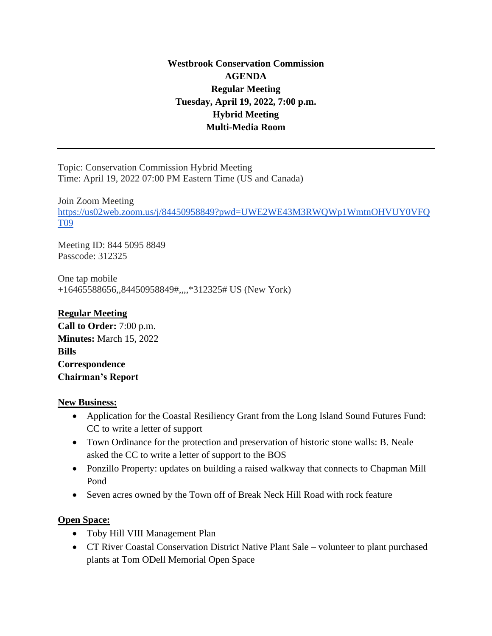# **Westbrook Conservation Commission AGENDA Regular Meeting Tuesday, April 19, 2022, 7:00 p.m. Hybrid Meeting Multi-Media Room**

Topic: Conservation Commission Hybrid Meeting Time: April 19, 2022 07:00 PM Eastern Time (US and Canada)

Join Zoom Meeting [https://us02web.zoom.us/j/84450958849?pwd=UWE2WE43M3RWQWp1WmtnOHVUY0VFQ](https://us02web.zoom.us/j/84450958849?pwd=UWE2WE43M3RWQWp1WmtnOHVUY0VFQT09) [T09](https://us02web.zoom.us/j/84450958849?pwd=UWE2WE43M3RWQWp1WmtnOHVUY0VFQT09)

Meeting ID: 844 5095 8849 Passcode: 312325

One tap mobile +16465588656,,84450958849#,,,,\*312325# US (New York)

# **Regular Meeting**

**Call to Order:** 7:00 p.m. **Minutes:** March 15, 2022 **Bills Correspondence Chairman's Report** 

### **New Business:**

- Application for the Coastal Resiliency Grant from the Long Island Sound Futures Fund: CC to write a letter of support
- Town Ordinance for the protection and preservation of historic stone walls: B. Neale asked the CC to write a letter of support to the BOS
- Ponzillo Property: updates on building a raised walkway that connects to Chapman Mill Pond
- Seven acres owned by the Town off of Break Neck Hill Road with rock feature

## **Open Space:**

- Toby Hill VIII Management Plan
- CT River Coastal Conservation District Native Plant Sale volunteer to plant purchased plants at Tom ODell Memorial Open Space